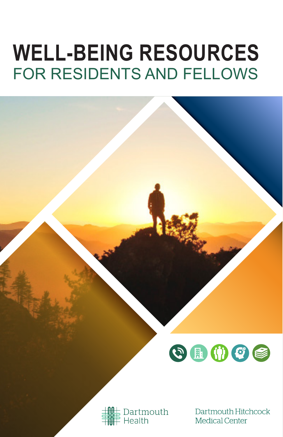## **WELL-BEING RESOURCES** FOR RESIDENTS AND FELLOWS





Dartmouth Hitchcock Medical Center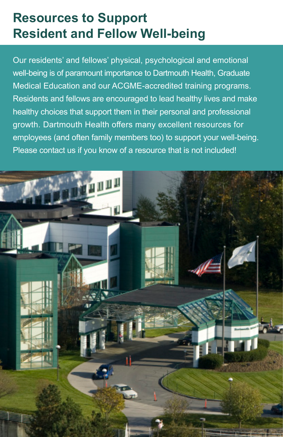## **Resources to Support Resident and Fellow Well-being**

Our residents' and fellows' physical, psychological and emotional well-being is of paramount importance to Dartmouth Health, Graduate Medical Education and our ACGME-accredited training programs. Residents and fellows are encouraged to lead healthy lives and make healthy choices that support them in their personal and professional growth. Dartmouth Health offers many excellent resources for employees (and often family members too) to support your well-being. Please contact us if you know of a resource that is not included!

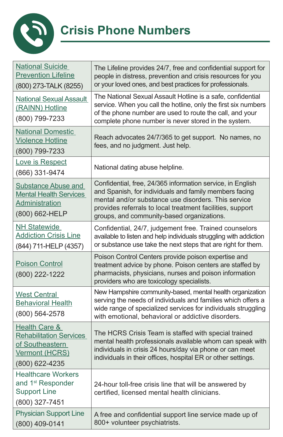

## Crisis Phone Numbers

| <b>National Suicide</b><br><b>Prevention Lifeline</b><br>(800) 273-TALK (8255)                         | The Lifeline provides 24/7, free and confidential support for<br>people in distress, prevention and crisis resources for you<br>or your loved ones, and best practices for professionals.                                                                                              |
|--------------------------------------------------------------------------------------------------------|----------------------------------------------------------------------------------------------------------------------------------------------------------------------------------------------------------------------------------------------------------------------------------------|
| <b>National Sexual Assault</b><br>(RAINN) Hotline<br>(800) 799-7233                                    | The National Sexual Assault Hotline is a safe, confidential<br>service. When you call the hotline, only the first six numbers<br>of the phone number are used to route the call, and your<br>complete phone number is never stored in the system.                                      |
| <b>National Domestic</b><br><b>Violence Hotline</b><br>(800) 799-7233                                  | Reach advocates 24/7/365 to get support. No names, no<br>fees, and no judgment. Just help.                                                                                                                                                                                             |
| Love is Respect<br>(866) 331-9474                                                                      | National dating abuse helpline.                                                                                                                                                                                                                                                        |
| <b>Substance Abuse and</b><br><b>Mental Health Services</b><br>Administration<br>(800) 662-HELP        | Confidential, free, 24/365 information service, in English<br>and Spanish, for individuals and family members facing<br>mental and/or substance use disorders. This service<br>provides referrals to local treatment facilities, support<br>groups, and community-based organizations. |
| <b>NH Statewide</b><br><b>Addiction Crisis Line</b><br>(844) 711-HELP (4357)                           | Confidential, 24/7, judgement free. Trained counselors<br>available to listen and help individuals struggling with addiction<br>or substance use take the next steps that are right for them.                                                                                          |
| <b>Poison Control</b><br>(800) 222-1222                                                                | Poison Control Centers provide poison expertise and<br>treatment advice by phone. Poison centers are staffed by<br>pharmacists, physicians, nurses and poison information<br>providers who are toxicology specialists.                                                                 |
| <b>West Central</b><br><b>Behavioral Health</b><br>(800) 564-2578                                      | New Hampshire community-based, mental health organization<br>serving the needs of individuals and families which offers a<br>wide range of specialized services for individuals struggling<br>with emotional, behavioral or addictive disorders.                                       |
| Health Care &<br><b>Rehabilitation Services</b><br>of Southeastern<br>Vermont (HCRS)<br>(800) 622-4235 | The HCRS Crisis Team is staffed with special trained<br>mental health professionals available whom can speak with<br>individuals in crisis 24 hours/day via phone or can meet<br>individuals in their offices, hospital ER or other settings.                                          |
| <b>Healthcare Workers</b><br>and 1 <sup>st</sup> Responder<br><b>Support Line</b><br>(800) 327-7451    | 24-hour toll-free crisis line that will be answered by<br>certified, licensed mental health clinicians.                                                                                                                                                                                |
| <b>Physician Support Line</b><br>(800) 409-0141                                                        | A free and confidential support line service made up of<br>800+ volunteer psychiatrists.                                                                                                                                                                                               |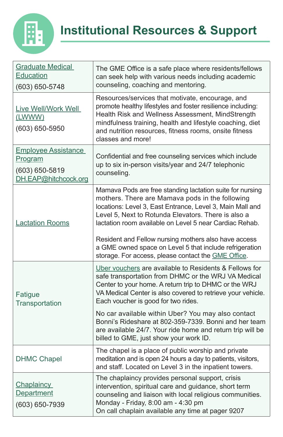

| <b>Graduate Medical</b><br>Education<br>(603) 650-5748                          | The GME Office is a safe place where residents/fellows<br>can seek help with various needs including academic<br>counseling, coaching and mentoring.                                                                                                                                                                                                                                                                                                                  |
|---------------------------------------------------------------------------------|-----------------------------------------------------------------------------------------------------------------------------------------------------------------------------------------------------------------------------------------------------------------------------------------------------------------------------------------------------------------------------------------------------------------------------------------------------------------------|
| Live Well/Work Well<br>(LWWW)<br>(603) 650-5950                                 | Resources/services that motivate, encourage, and<br>promote healthy lifestyles and foster resilience including:<br>Health Risk and Wellness Assessment, MindStrength<br>mindfulness training, health and lifestyle coaching, diet<br>and nutrition resources, fitness rooms, onsite fitness<br>classes and more!                                                                                                                                                      |
| <b>Employee Assistance</b><br>Program<br>(603) 650-5819<br>DH.EAP@hitchcock.org | Confidential and free counseling services which include<br>up to six in-person visits/year and 24/7 telephonic<br>counseling.                                                                                                                                                                                                                                                                                                                                         |
| <b>Lactation Rooms</b>                                                          | Mamava Pods are free standing lactation suite for nursing<br>mothers. There are Mamava pods in the following<br>locations: Level 3, East Entrance, Level 3, Main Mall and<br>Level 5, Next to Rotunda Elevators. There is also a<br>lactation room available on Level 5 near Cardiac Rehab.<br>Resident and Fellow nursing mothers also have access<br>a GME owned space on Level 5 that include refrigeration<br>storage. For access, please contact the GME Office. |
| Fatigue<br>Transportation                                                       | Uber vouchers are available to Residents & Fellows for<br>safe transportation from DHMC or the WRJ VA Medical<br>Center to your home. A return trip to DHMC or the WRJ<br>VA Medical Center is also covered to retrieve your vehicle.<br>Each voucher is good for two rides.<br>No car available within Uber? You may also contact<br>Bonni's Rideshare at 802-359-7339. Bonni and her team<br>are available 24/7. Your ride home and return trip will be             |
| <b>DHMC Chapel</b>                                                              | billed to GME, just show your work ID.<br>The chapel is a place of public worship and private<br>meditation and is open 24 hours a day to patients, visitors,                                                                                                                                                                                                                                                                                                         |
|                                                                                 | and staff. Located on Level 3 in the inpatient towers.                                                                                                                                                                                                                                                                                                                                                                                                                |
| Chaplaincy<br>Department<br>(603) 650-7939                                      | The chaplaincy provides personal support, crisis<br>intervention, spiritual care and guidance, short term<br>counseling and liaison with local religious communities.<br>Monday - Friday, 8:00 am - 4:30 pm<br>On call chaplain available any time at pager 9207                                                                                                                                                                                                      |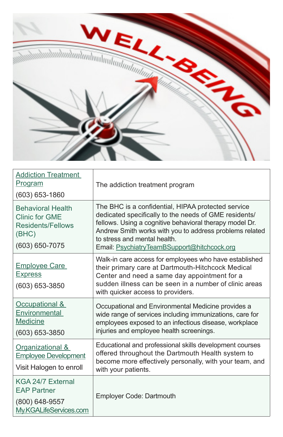

| <b>Addiction Treatment</b><br><u>Program</u><br>$(603) 653 - 1860$                                           | The addiction treatment program                                                                                                                                                                                                                                                                                  |
|--------------------------------------------------------------------------------------------------------------|------------------------------------------------------------------------------------------------------------------------------------------------------------------------------------------------------------------------------------------------------------------------------------------------------------------|
| <b>Behavioral Health</b><br><b>Clinic for GME</b><br><b>Residents/Fellows</b><br>(BHC)<br>$(603) 650 - 7075$ | The BHC is a confidential, HIPAA protected service<br>dedicated specifically to the needs of GME residents/<br>fellows. Using a cognitive behavioral therapy model Dr.<br>Andrew Smith works with you to address problems related<br>to stress and mental health.<br>Email: PsychiatryTeamBSupport@hitchcock.org |
| <b>Employee Care</b><br><b>Express</b><br>$(603) 653 - 3850$                                                 | Walk-in care access for employees who have established<br>their primary care at Dartmouth-Hitchcock Medical<br>Center and need a same day appointment for a<br>sudden illness can be seen in a number of clinic areas<br>with quicker access to providers.                                                       |
| Occupational &<br>Environmental<br>Medicine<br>$(603) 653 - 3850$                                            | Occupational and Environmental Medicine provides a<br>wide range of services including immunizations, care for<br>employees exposed to an infectious disease, workplace<br>injuries and employee health screenings.                                                                                              |
| Organizational &<br><b>Employee Development</b><br>Visit Halogen to enroll                                   | Educational and professional skills development courses<br>offered throughout the Dartmouth Health system to<br>become more effectively personally, with your team, and<br>with your patients.                                                                                                                   |
| KGA 24/7 External<br><b>EAP Partner</b><br>(800) 648-9557<br>My.KGALifeServices.com                          | Employer Code: Dartmouth                                                                                                                                                                                                                                                                                         |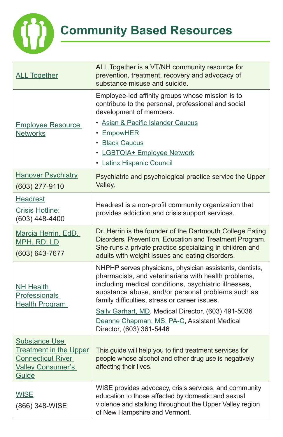

| <b>ALL Together</b>                                                                                             | ALL Together is a VT/NH community resource for<br>prevention, treatment, recovery and advocacy of<br>substance misuse and suicide.                                                                                                                                                                                                                                                                               |
|-----------------------------------------------------------------------------------------------------------------|------------------------------------------------------------------------------------------------------------------------------------------------------------------------------------------------------------------------------------------------------------------------------------------------------------------------------------------------------------------------------------------------------------------|
|                                                                                                                 | Employee-led affinity groups whose mission is to<br>contribute to the personal, professional and social<br>development of members.                                                                                                                                                                                                                                                                               |
| <b>Employee Resource</b><br><b>Networks</b>                                                                     | · Asian & Pacific Islander Caucus<br>• EmpowHER<br>• Black Caucus<br>• LGBTQIA+ Employee Network<br>• Latinx Hispanic Council                                                                                                                                                                                                                                                                                    |
| <b>Hanover Psychiatry</b><br>(603) 277-9110                                                                     | Psychiatric and psychological practice service the Upper<br>Valley.                                                                                                                                                                                                                                                                                                                                              |
| <b>Headrest</b><br><b>Crisis Hotline:</b><br>(603) 448-4400                                                     | Headrest is a non-profit community organization that<br>provides addiction and crisis support services.                                                                                                                                                                                                                                                                                                          |
| Marcia Herrin, EdD,<br>MPH, RD, LD<br>(603) 643-7677                                                            | Dr. Herrin is the founder of the Dartmouth College Eating<br>Disorders, Prevention, Education and Treatment Program.<br>She runs a private practice specializing in children and<br>adults with weight issues and eating disorders.                                                                                                                                                                              |
| <b>NH Health</b><br>Professionals<br><b>Health Program</b>                                                      | NHPHP serves physicians, physician assistants, dentists,<br>pharmacists, and veterinarians with health problems,<br>including medical conditions, psychiatric illnesses,<br>substance abuse, and/or personal problems such as<br>family difficulties, stress or career issues.<br>Sally Garhart, MD, Medical Director, (603) 491-5036<br>Deanne Chapman, MS, PA-C, Assistant Medical<br>Director, (603) 361-5446 |
| Substance Use<br><b>Treatment in the Upper</b><br><b>Connecticut River</b><br><b>Valley Consumer's</b><br>Guide | This guide will help you to find treatment services for<br>people whose alcohol and other drug use is negatively<br>affecting their lives.                                                                                                                                                                                                                                                                       |
| <b>WISE</b><br>(866) 348-WISE                                                                                   | WISE provides advocacy, crisis services, and community<br>education to those affected by domestic and sexual<br>violence and stalking throughout the Upper Valley region<br>of New Hampshire and Vermont.                                                                                                                                                                                                        |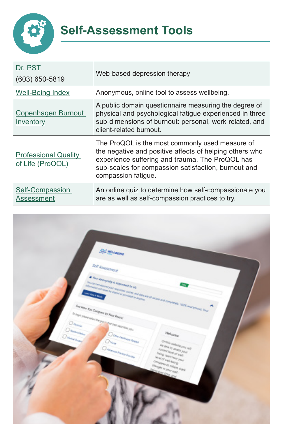

## **Self-Assessment Tools**

| Dr. PST<br>$(603) 650 - 5819$                   | Web-based depression therapy                                                                                                                                                                                                                |
|-------------------------------------------------|---------------------------------------------------------------------------------------------------------------------------------------------------------------------------------------------------------------------------------------------|
| <b>Well-Being Index</b>                         | Anonymous, online tool to assess wellbeing.                                                                                                                                                                                                 |
| Copenhagen Burnout<br>Inventory                 | A public domain questionnaire measuring the degree of<br>physical and psychological fatigue experienced in three<br>sub-dimensions of burnout: personal, work-related, and<br>client-related burnout.                                       |
| <b>Professional Quality</b><br>of Life (ProQOL) | The ProQOL is the most commonly used measure of<br>the negative and positive affects of helping others who<br>experience suffering and trauma. The ProQOL has<br>sub-scales for compassion satisfaction, burnout and<br>compassion fatigue. |
| Self-Compassion<br>Assessment                   | An online quiz to determine how self-compassionate you<br>are as well as self-compassion practices to try.                                                                                                                                  |

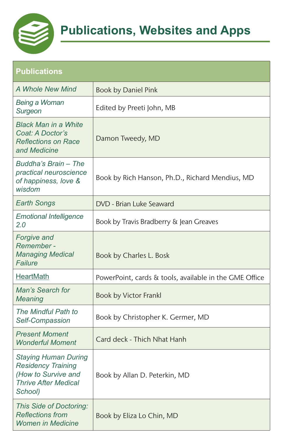

| <b>Publications</b>                                                                                                       |                                                        |
|---------------------------------------------------------------------------------------------------------------------------|--------------------------------------------------------|
| A Whole New Mind                                                                                                          | Book by Daniel Pink                                    |
| Being a Woman<br>Surgeon                                                                                                  | Edited by Preeti John, MB                              |
| <b>Black Man in a White</b><br>Coat: A Doctor's<br><b>Reflections on Race</b><br>and Medicine                             | Damon Tweedy, MD                                       |
| Buddha's Brain - The<br>practical neuroscience<br>of happiness, love &<br>wisdom                                          | Book by Rich Hanson, Ph.D., Richard Mendius, MD        |
| <b>Earth Songs</b>                                                                                                        | DVD - Brian Luke Seaward                               |
| <b>Emotional Intelligence</b><br>2.0                                                                                      | Book by Travis Bradberry & Jean Greaves                |
| Forgive and<br>Remember -<br><b>Managing Medical</b><br>Failure                                                           | Book by Charles L. Bosk                                |
| <b>HeartMath</b>                                                                                                          | PowerPoint, cards & tools, available in the GME Office |
| Man's Search for<br><b>Meaning</b>                                                                                        | Book by Victor Frankl                                  |
| The Mindful Path to<br><b>Self-Compassion</b>                                                                             | Book by Christopher K. Germer, MD                      |
| <b>Present Moment</b><br><b>Wonderful Moment</b>                                                                          | Card deck - Thich Nhat Hanh                            |
| <b>Staying Human During</b><br><b>Residency Training</b><br>(How to Survive and<br><b>Thrive After Medical</b><br>School) | Book by Allan D. Peterkin, MD                          |
| This Side of Doctoring:<br><b>Reflections from</b><br><b>Women in Medicine</b>                                            | Book by Eliza Lo Chin, MD                              |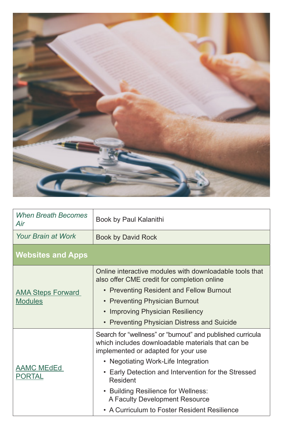

| <b>When Breath Becomes</b><br>Air          | Book by Paul Kalanithi                                                                                                                                                                                                                                                                                                                                                                  |
|--------------------------------------------|-----------------------------------------------------------------------------------------------------------------------------------------------------------------------------------------------------------------------------------------------------------------------------------------------------------------------------------------------------------------------------------------|
| <b>Your Brain at Work</b>                  | Book by David Rock                                                                                                                                                                                                                                                                                                                                                                      |
| <b>Websites and Apps</b>                   |                                                                                                                                                                                                                                                                                                                                                                                         |
| <u>AMA Steps Forward</u><br><b>Modules</b> | Online interactive modules with downloadable tools that<br>also offer CME credit for completion online<br>• Preventing Resident and Fellow Burnout<br>• Preventing Physician Burnout<br>• Improving Physician Resiliency<br>• Preventing Physician Distress and Suicide                                                                                                                 |
| AAMC MEdEd<br><b>PORTAL</b>                | Search for "wellness" or "burnout" and published curricula<br>which includes downloadable materials that can be<br>implemented or adapted for your use<br>• Negotiating Work-Life Integration<br>Early Detection and Intervention for the Stressed<br>Resident<br>• Building Resilience for Wellness:<br>A Faculty Development Resource<br>• A Curriculum to Foster Resident Resilience |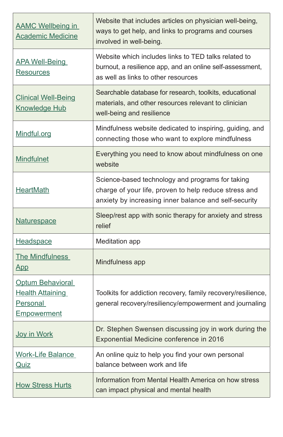| <b>AAMC Wellbeing in</b><br><b>Academic Medicine</b>                          | Website that includes articles on physician well-being,<br>ways to get help, and links to programs and courses<br>involved in well-being.                          |
|-------------------------------------------------------------------------------|--------------------------------------------------------------------------------------------------------------------------------------------------------------------|
| <b>APA Well-Being</b><br><u>Resources</u>                                     | Website which includes links to TED talks related to<br>burnout, a resilience app, and an online self-assessment,<br>as well as links to other resources           |
| <b>Clinical Well-Being</b><br><b>Knowledge Hub</b>                            | Searchable database for research, toolkits, educational<br>materials, and other resources relevant to clinician<br>well-being and resilience                       |
| Mindful.org                                                                   | Mindfulness website dedicated to inspiring, guiding, and<br>connecting those who want to explore mindfulness                                                       |
| <b>Mindfulnet</b>                                                             | Everything you need to know about mindfulness on one<br>website                                                                                                    |
| <u>HeartMath</u>                                                              | Science-based technology and programs for taking<br>charge of your life, proven to help reduce stress and<br>anxiety by increasing inner balance and self-security |
| <b>Naturespace</b>                                                            | Sleep/rest app with sonic therapy for anxiety and stress<br>relief                                                                                                 |
| <b>Headspace</b>                                                              | Meditation app                                                                                                                                                     |
| The Mindfulness<br>$_{\text{App}}$                                            | Mindfulness app                                                                                                                                                    |
| Optum Behavioral<br><b>Health Attaining</b><br>Personal<br><b>Empowerment</b> | Toolkits for addiction recovery, family recovery/resilience,<br>general recovery/resiliency/empowerment and journaling                                             |
|                                                                               |                                                                                                                                                                    |
| Joy in Work                                                                   | Dr. Stephen Swensen discussing joy in work during the<br>Exponential Medicine conference in 2016                                                                   |
| <b>Work-Life Balance</b><br><u>Quiz</u>                                       | An online quiz to help you find your own personal<br>balance between work and life                                                                                 |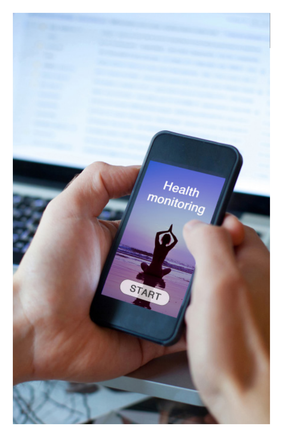